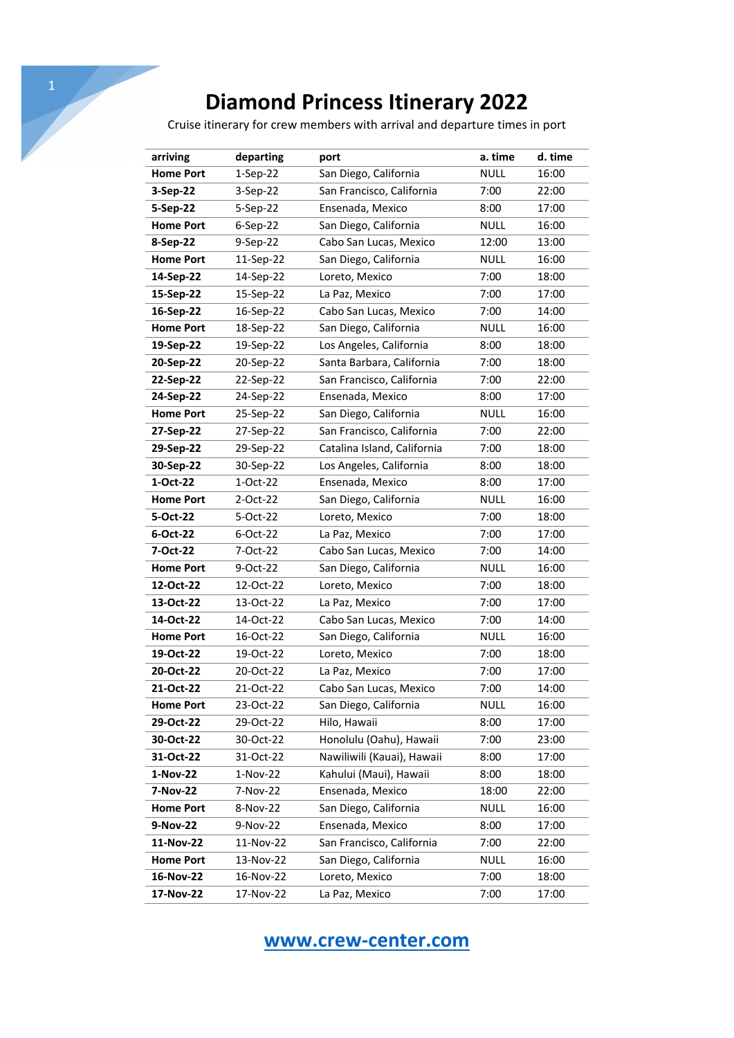## **Diamond Princess Itinerary 2022**

Cruise itinerary for crew members with arrival and departure times in port

| arriving         | departing  | port                        | a. time     | d. time |
|------------------|------------|-----------------------------|-------------|---------|
| <b>Home Port</b> | $1-Sep-22$ | San Diego, California       | <b>NULL</b> | 16:00   |
| 3-Sep-22         | 3-Sep-22   | San Francisco, California   | 7:00        | 22:00   |
| 5-Sep-22         | 5-Sep-22   | Ensenada, Mexico            | 8:00        | 17:00   |
| <b>Home Port</b> | 6-Sep-22   | San Diego, California       | <b>NULL</b> | 16:00   |
| 8-Sep-22         | 9-Sep-22   | Cabo San Lucas, Mexico      | 12:00       | 13:00   |
| <b>Home Port</b> | 11-Sep-22  | San Diego, California       | <b>NULL</b> | 16:00   |
| 14-Sep-22        | 14-Sep-22  | Loreto, Mexico              | 7:00        | 18:00   |
| 15-Sep-22        | 15-Sep-22  | La Paz, Mexico              | 7:00        | 17:00   |
| 16-Sep-22        | 16-Sep-22  | Cabo San Lucas, Mexico      | 7:00        | 14:00   |
| <b>Home Port</b> | 18-Sep-22  | San Diego, California       | <b>NULL</b> | 16:00   |
| 19-Sep-22        | 19-Sep-22  | Los Angeles, California     | 8:00        | 18:00   |
| 20-Sep-22        | 20-Sep-22  | Santa Barbara, California   | 7:00        | 18:00   |
| 22-Sep-22        | 22-Sep-22  | San Francisco, California   | 7:00        | 22:00   |
| 24-Sep-22        | 24-Sep-22  | Ensenada, Mexico            | 8:00        | 17:00   |
| <b>Home Port</b> | 25-Sep-22  | San Diego, California       | <b>NULL</b> | 16:00   |
| 27-Sep-22        | 27-Sep-22  | San Francisco, California   | 7:00        | 22:00   |
| 29-Sep-22        | 29-Sep-22  | Catalina Island, California | 7:00        | 18:00   |
| 30-Sep-22        | 30-Sep-22  | Los Angeles, California     | 8:00        | 18:00   |
| 1-Oct-22         | 1-Oct-22   | Ensenada, Mexico            | 8:00        | 17:00   |
| <b>Home Port</b> | 2-Oct-22   | San Diego, California       | <b>NULL</b> | 16:00   |
| 5-Oct-22         | 5-Oct-22   | Loreto, Mexico              | 7:00        | 18:00   |
| 6-Oct-22         | 6-Oct-22   | La Paz, Mexico              | 7:00        | 17:00   |
| 7-Oct-22         | 7-Oct-22   | Cabo San Lucas, Mexico      | 7:00        | 14:00   |
| <b>Home Port</b> | 9-Oct-22   | San Diego, California       | <b>NULL</b> | 16:00   |
| 12-Oct-22        | 12-Oct-22  | Loreto, Mexico              | 7:00        | 18:00   |
| 13-Oct-22        | 13-Oct-22  | La Paz, Mexico              | 7:00        | 17:00   |
| 14-Oct-22        | 14-Oct-22  | Cabo San Lucas, Mexico      | 7:00        | 14:00   |
| <b>Home Port</b> | 16-Oct-22  | San Diego, California       | <b>NULL</b> | 16:00   |
| 19-Oct-22        | 19-Oct-22  | Loreto, Mexico              | 7:00        | 18:00   |
| 20-Oct-22        | 20-Oct-22  | La Paz, Mexico              | 7:00        | 17:00   |
| 21-Oct-22        | 21-Oct-22  | Cabo San Lucas, Mexico      | 7:00        | 14:00   |
| <b>Home Port</b> | 23-Oct-22  | San Diego, California       | <b>NULL</b> | 16:00   |
| 29-Oct-22        | 29-Oct-22  | Hilo, Hawaii                | 8:00        | 17:00   |
| 30-Oct-22        | 30-Oct-22  | Honolulu (Oahu), Hawaii     | 7:00        | 23:00   |
| 31-Oct-22        | 31-Oct-22  | Nawiliwili (Kauai), Hawaii  | 8:00        | 17:00   |
| 1-Nov-22         | 1-Nov-22   | Kahului (Maui), Hawaii      | 8:00        | 18:00   |
| 7-Nov-22         | 7-Nov-22   | Ensenada, Mexico            | 18:00       | 22:00   |
| <b>Home Port</b> | 8-Nov-22   | San Diego, California       | <b>NULL</b> | 16:00   |
| 9-Nov-22         | 9-Nov-22   | Ensenada, Mexico            | 8:00        | 17:00   |
| 11-Nov-22        | 11-Nov-22  | San Francisco, California   | 7:00        | 22:00   |
| <b>Home Port</b> | 13-Nov-22  | San Diego, California       | <b>NULL</b> | 16:00   |
| 16-Nov-22        | 16-Nov-22  | Loreto, Mexico              | 7:00        | 18:00   |
| 17-Nov-22        | 17-Nov-22  | La Paz, Mexico              | 7:00        | 17:00   |

## **www.crew-center.com**